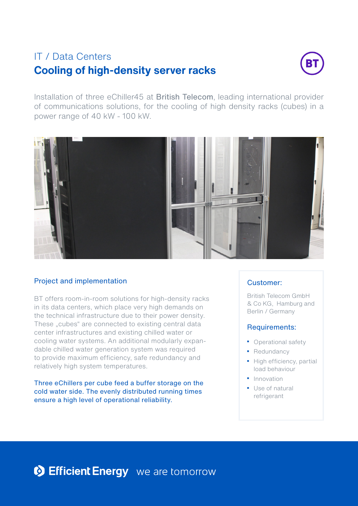# **Cooling of high-density server racks** IT / Data Centers



Installation of three eChiller45 at British Telecom, leading international provider of communications solutions, for the cooling of high density racks (cubes) in a power range of 40 kW - 100 kW.



## Project and implementation

BT offers room-in-room solutions for high-density racks in its data centers, which place very high demands on the technical infrastructure due to their power density. These "cubes" are connected to existing central data center infrastructures and existing chilled water or cooling water systems. An additional modularly expandable chilled water generation system was required to provide maximum efficiency, safe redundancy and relatively high system temperatures.

Three eChillers per cube feed a buffer storage on the cold water side. The evenly distributed running times ensure a high level of operational reliability.

### Customer:

British Telecom GmbH & Co KG, Hamburg and Berlin / Germany

#### Requirements:

- Operational safety
- Redundancy
- High efficiency, partial load behaviour
- Innovation
- Use of natural refrigerant